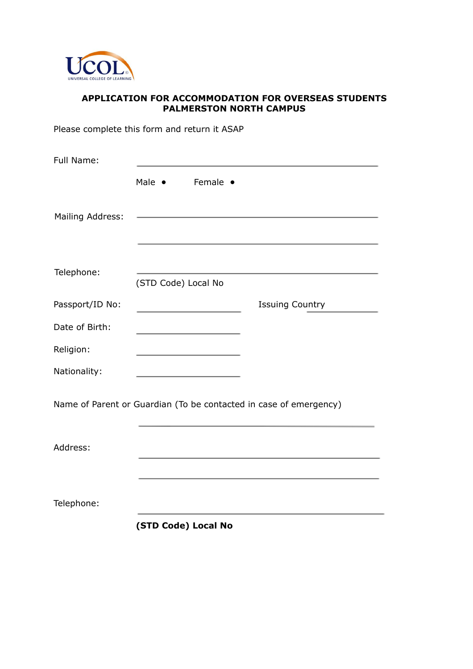

## **APPLICATION FOR ACCOMMODATION FOR OVERSEAS STUDENTS PALMERSTON NORTH CAMPUS**

Please complete this form and return it ASAP

| Male •<br>Female •                                                |
|-------------------------------------------------------------------|
|                                                                   |
|                                                                   |
| (STD Code) Local No                                               |
| <b>Issuing Country</b>                                            |
|                                                                   |
|                                                                   |
|                                                                   |
| Name of Parent or Guardian (To be contacted in case of emergency) |
|                                                                   |
| (STD Code) Local No                                               |
|                                                                   |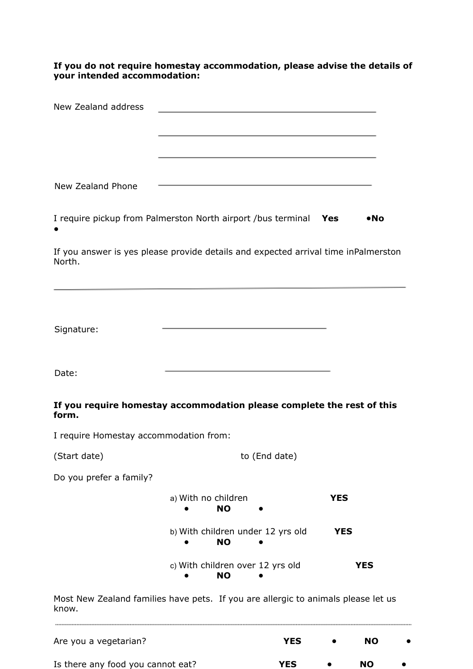**If you do not require homestay accommodation, please advise the details of your intended accommodation:**

| New Zealand address                                                                          |                                                |               |              |
|----------------------------------------------------------------------------------------------|------------------------------------------------|---------------|--------------|
|                                                                                              |                                                |               |              |
|                                                                                              |                                                |               |              |
|                                                                                              |                                                |               |              |
| New Zealand Phone                                                                            |                                                |               |              |
| I require pickup from Palmerston North airport /bus terminal Yes                             |                                                |               | $\bullet$ No |
| If you answer is yes please provide details and expected arrival time inPalmerston<br>North. |                                                |               |              |
|                                                                                              |                                                |               |              |
| Signature:                                                                                   |                                                |               |              |
| Date:                                                                                        | the control of the control of the control of   |               |              |
| If you require homestay accommodation please complete the rest of this<br>form.              |                                                |               |              |
| I require Homestay accommodation from:                                                       |                                                |               |              |
| (Start date)                                                                                 |                                                | to (End date) |              |
| Do you prefer a family?                                                                      |                                                |               |              |
|                                                                                              | a) With no children<br><b>NO</b>               |               | <b>YES</b>   |
|                                                                                              | b) With children under 12 yrs old<br><b>NO</b> |               | <b>YES</b>   |
|                                                                                              | c) With children over 12 yrs old<br><b>NO</b>  |               | <b>YES</b>   |
| Most New Zealand families have pets. If you are allergic to animals please let us<br>know.   |                                                |               |              |
|                                                                                              |                                                |               |              |

Are you a vegetarian? **YES • NO •** Is there any food you cannot eat? **YES** ● **NO** ●